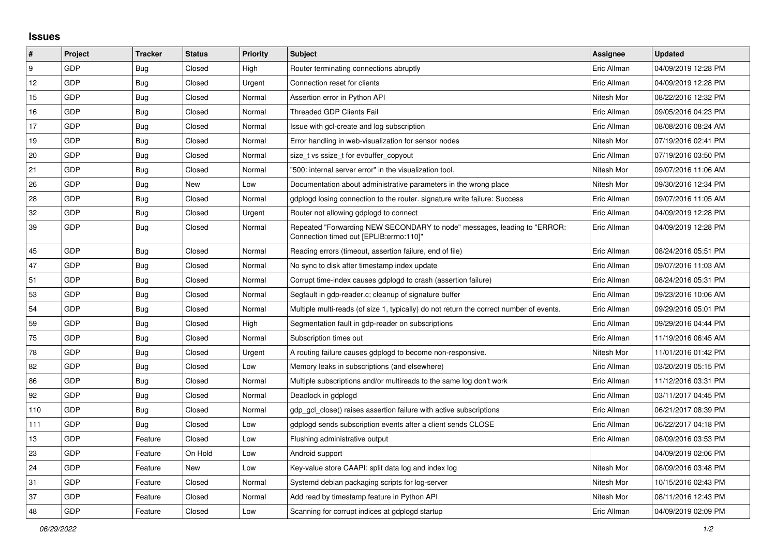## **Issues**

| $\vert$ # | Project    | <b>Tracker</b> | <b>Status</b> | <b>Priority</b> | <b>Subject</b>                                                                                                      | Assignee    | <b>Updated</b>      |
|-----------|------------|----------------|---------------|-----------------|---------------------------------------------------------------------------------------------------------------------|-------------|---------------------|
| l 9       | GDP        | Bug            | Closed        | High            | Router terminating connections abruptly                                                                             | Eric Allman | 04/09/2019 12:28 PM |
| 12        | GDP        | <b>Bug</b>     | Closed        | Urgent          | Connection reset for clients                                                                                        | Eric Allman | 04/09/2019 12:28 PM |
| 15        | GDP        | <b>Bug</b>     | Closed        | Normal          | Assertion error in Python API                                                                                       | Nitesh Mor  | 08/22/2016 12:32 PM |
| 16        | GDP        | Bug            | Closed        | Normal          | <b>Threaded GDP Clients Fail</b>                                                                                    | Eric Allman | 09/05/2016 04:23 PM |
| 17        | GDP        | Bug            | Closed        | Normal          | Issue with gcl-create and log subscription                                                                          | Eric Allman | 08/08/2016 08:24 AM |
| 19        | GDP        | Bug            | Closed        | Normal          | Error handling in web-visualization for sensor nodes                                                                | Nitesh Mor  | 07/19/2016 02:41 PM |
| 20        | GDP        | Bug            | Closed        | Normal          | size_t vs ssize_t for evbuffer_copyout                                                                              | Eric Allman | 07/19/2016 03:50 PM |
| 21        | GDP        | <b>Bug</b>     | Closed        | Normal          | '500: internal server error" in the visualization tool.                                                             | Nitesh Mor  | 09/07/2016 11:06 AM |
| 26        | GDP        | <b>Bug</b>     | New           | Low             | Documentation about administrative parameters in the wrong place                                                    | Nitesh Mor  | 09/30/2016 12:34 PM |
| 28        | <b>GDP</b> | <b>Bug</b>     | Closed        | Normal          | gdplogd losing connection to the router, signature write failure: Success                                           | Eric Allman | 09/07/2016 11:05 AM |
| 32        | GDP        | Bug            | Closed        | Urgent          | Router not allowing gdplogd to connect                                                                              | Eric Allman | 04/09/2019 12:28 PM |
| 39        | GDP        | <b>Bug</b>     | Closed        | Normal          | Repeated "Forwarding NEW SECONDARY to node" messages, leading to "ERROR:<br>Connection timed out [EPLIB:errno:110]" | Eric Allman | 04/09/2019 12:28 PM |
| 45        | GDP        | Bug            | Closed        | Normal          | Reading errors (timeout, assertion failure, end of file)                                                            | Eric Allman | 08/24/2016 05:51 PM |
| 47        | GDP        | <b>Bug</b>     | Closed        | Normal          | No sync to disk after timestamp index update                                                                        | Eric Allman | 09/07/2016 11:03 AM |
| 51        | GDP        | Bug            | Closed        | Normal          | Corrupt time-index causes gdplogd to crash (assertion failure)                                                      | Eric Allman | 08/24/2016 05:31 PM |
| 53        | GDP        | <b>Bug</b>     | Closed        | Normal          | Segfault in gdp-reader.c; cleanup of signature buffer                                                               | Eric Allman | 09/23/2016 10:06 AM |
| 54        | GDP        | Bug            | Closed        | Normal          | Multiple multi-reads (of size 1, typically) do not return the correct number of events.                             | Eric Allman | 09/29/2016 05:01 PM |
| 59        | GDP        | <b>Bug</b>     | Closed        | High            | Segmentation fault in gdp-reader on subscriptions                                                                   | Eric Allman | 09/29/2016 04:44 PM |
| 75        | <b>GDP</b> | Bug            | Closed        | Normal          | Subscription times out                                                                                              | Eric Allman | 11/19/2016 06:45 AM |
| 78        | GDP        | Bug            | Closed        | Urgent          | A routing failure causes gdplogd to become non-responsive.                                                          | Nitesh Mor  | 11/01/2016 01:42 PM |
| 82        | GDP        | <b>Bug</b>     | Closed        | Low             | Memory leaks in subscriptions (and elsewhere)                                                                       | Eric Allman | 03/20/2019 05:15 PM |
| 86        | GDP        | <b>Bug</b>     | Closed        | Normal          | Multiple subscriptions and/or multireads to the same log don't work                                                 | Eric Allman | 11/12/2016 03:31 PM |
| 92        | GDP        | Bug            | Closed        | Normal          | Deadlock in gdplogd                                                                                                 | Eric Allman | 03/11/2017 04:45 PM |
| 110       | GDP        | Bug            | Closed        | Normal          | gdp gcl close() raises assertion failure with active subscriptions                                                  | Eric Allman | 06/21/2017 08:39 PM |
| 111       | GDP        | Bug            | Closed        | Low             | gdplogd sends subscription events after a client sends CLOSE                                                        | Eric Allman | 06/22/2017 04:18 PM |
| 13        | GDP        | Feature        | Closed        | Low             | Flushing administrative output                                                                                      | Eric Allman | 08/09/2016 03:53 PM |
| 23        | GDP        | Feature        | On Hold       | Low             | Android support                                                                                                     |             | 04/09/2019 02:06 PM |
| 24        | GDP        | Feature        | New           | Low             | Key-value store CAAPI: split data log and index log                                                                 | Nitesh Mor  | 08/09/2016 03:48 PM |
| 31        | <b>GDP</b> | Feature        | Closed        | Normal          | Systemd debian packaging scripts for log-server                                                                     | Nitesh Mor  | 10/15/2016 02:43 PM |
| 37        | GDP        | Feature        | Closed        | Normal          | Add read by timestamp feature in Python API                                                                         | Nitesh Mor  | 08/11/2016 12:43 PM |
| 48        | GDP        | Feature        | Closed        | Low             | Scanning for corrupt indices at gdplogd startup                                                                     | Eric Allman | 04/09/2019 02:09 PM |